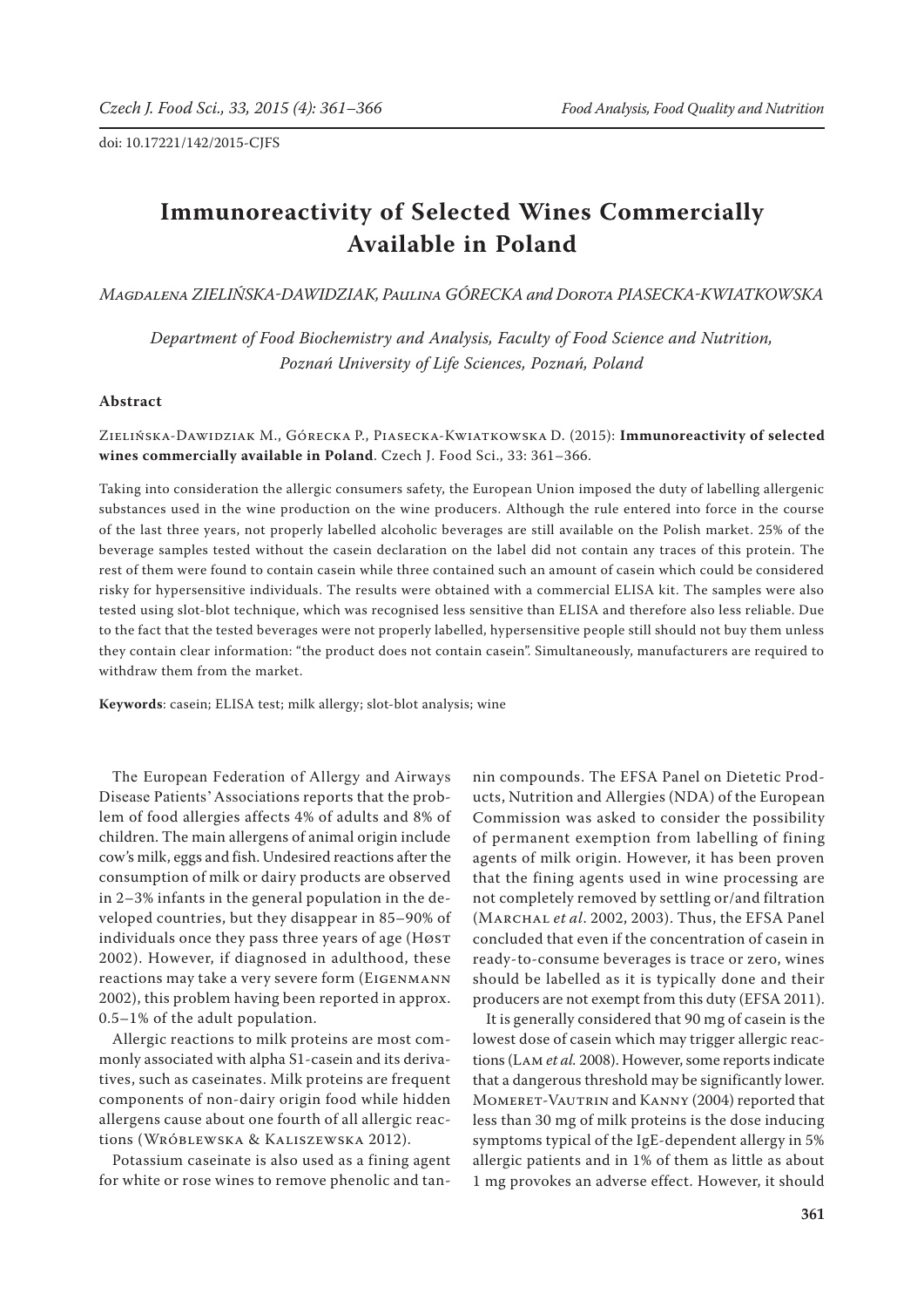doi: 10.17221/142/2015-CJFS

# **Immunoreactivity of Selected Wines Commercially Available in Poland**

*Magdalena ZIELIŃSKA-DAWIDZIAK, Paulina GÓRECKA and Dorota PIASECKA-KWIATKOWSKA*

*Department of Food Biochemistry and Analysis, Faculty of Food Science and Nutrition, Poznań University of Life Sciences, Poznań, Poland*

## **Abstract**

Zielińska-Dawidziak M., Górecka P., Piasecka-Kwiatkowska D. (2015): **Immunoreactivity of selected wines commercially available in Poland**. Czech J. Food Sci., 33: 361–366.

Taking into consideration the allergic consumers safety, the European Union imposed the duty of labelling allergenic substances used in the wine production on the wine producers. Although the rule entered into force in the course of the last three years, not properly labelled alcoholic beverages are still available on the Polish market. 25% of the beverage samples tested without the casein declaration on the label did not contain any traces of this protein. The rest of them were found to contain casein while three contained such an amount of casein which could be considered risky for hypersensitive individuals. The results were obtained with a commercial ELISA kit. The samples were also tested using slot-blot technique, which was recognised less sensitive than ELISA and therefore also less reliable. Due to the fact that the tested beverages were not properly labelled, hypersensitive people still should not buy them unless they contain clear information: "the product does not contain casein". Simultaneously, manufacturers are required to withdraw them from the market.

**Keywords**: casein; ELISA test; milk allergy; slot-blot analysis; wine

The European Federation of Allergy and Airways Disease Patients' Associations reports that the problem of food allergies affects 4% of adults and 8% of children. The main allergens of animal origin include cow's milk, eggs and fish. Undesired reactions after the consumption of milk or dairy products are observed in 2–3% infants in the general population in the developed countries, but they disappear in 85–90% of individuals once they pass three years of age (HøsT 2002). However, if diagnosed in adulthood, these reactions may take a very severe form (Eigenmann 2002), this problem having been reported in approx. 0.5–1% of the adult population.

Allergic reactions to milk proteins are most commonly associated with alpha S1-casein and its derivatives, such as caseinates. Milk proteins are frequent components of non-dairy origin food while hidden allergens cause about one fourth of all allergic reactions (Wróblewska & Kaliszewska 2012).

Potassium caseinate is also used as a fining agent for white or rose wines to remove phenolic and tan-

nin compounds. The EFSA Panel on Dietetic Products, Nutrition and Allergies (NDA) of the European Commission was asked to consider the possibility of permanent exemption from labelling of fining agents of milk origin. However, it has been proven that the fining agents used in wine processing are not completely removed by settling or/and filtration (Marchal *et al*. 2002, 2003). Thus, the EFSA Panel concluded that even if the concentration of casein in ready-to-consume beverages is trace or zero, wines should be labelled as it is typically done and their producers are not exempt from this duty (EFSA 2011).

It is generally considered that 90 mg of casein is the lowest dose of casein which may trigger allergic reactions (Lam *et al.* 2008). However, some reports indicate that a dangerous threshold may be significantly lower. MOMERET-VAUTRIN and KANNY (2004) reported that less than 30 mg of milk proteins is the dose inducing symptoms typical of the IgE-dependent allergy in 5% allergic patients and in 1% of them as little as about 1 mg provokes an adverse effect. However, it should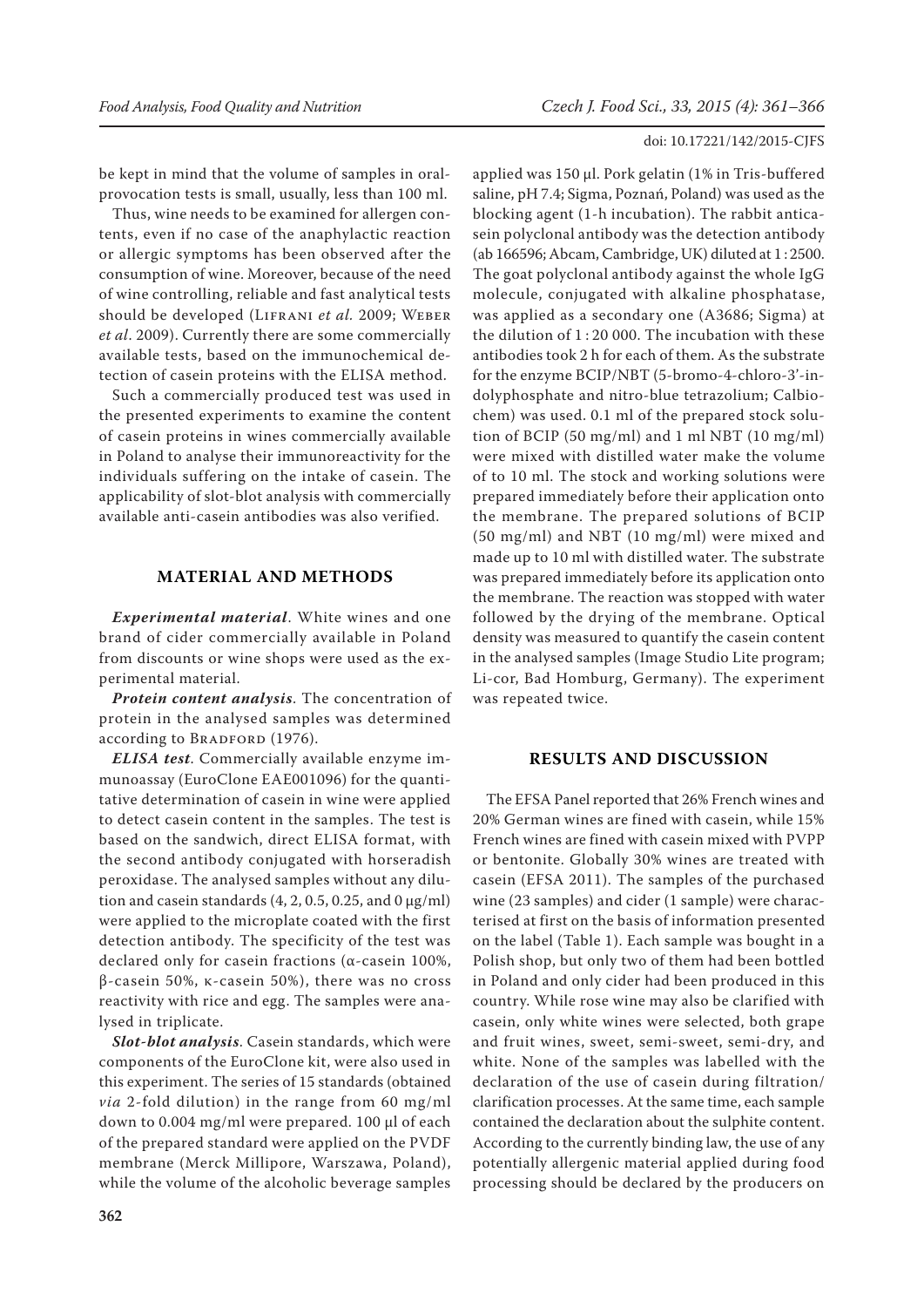## be kept in mind that the volume of samples in oralprovocation tests is small, usually, less than 100 ml.

Thus, wine needs to be examined for allergen contents, even if no case of the anaphylactic reaction or allergic symptoms has been observed after the consumption of wine. Moreover, because of the need of wine controlling, reliable and fast analytical tests should be developed (Lifrani *et al.* 2009; Weber *et al*. 2009). Currently there are some commercially available tests, based on the immunochemical detection of casein proteins with the ELISA method.

Such a commercially produced test was used in the presented experiments to examine the content of casein proteins in wines commercially available in Poland to analyse their immunoreactivity for the individuals suffering on the intake of casein. The applicability of slot-blot analysis with commercially available anti-casein antibodies was also verified.

# **MATERIAL AND METHODS**

*Experimental material*. White wines and one brand of cider commercially available in Poland from discounts or wine shops were used as the experimental material.

*Protein content analysis*. The concentration of protein in the analysed samples was determined according to BRADFORD (1976).

*ELISA test*. Commercially available enzyme immunoassay (EuroClone EAE001096) for the quantitative determination of casein in wine were applied to detect casein content in the samples. The test is based on the sandwich, direct ELISA format, with the second antibody conjugated with horseradish peroxidase. The analysed samples without any dilution and casein standards  $(4, 2, 0.5, 0.25, \text{and } 0 \mu\text{g/ml})$ were applied to the microplate coated with the first detection antibody. The specificity of the test was declared only for casein fractions (α-casein 100%, β-casein 50%, κ-casein 50%), there was no cross reactivity with rice and egg. The samples were analysed in triplicate.

*Slot-blot analysis*. Casein standards, which were components of the EuroClone kit, were also used in this experiment. The series of 15 standards (obtained *via* 2-fold dilution) in the range from 60 mg/ml down to 0.004 mg/ml were prepared. 100 µl of each of the prepared standard were applied on the PVDF membrane (Merck Millipore, Warszawa, Poland), while the volume of the alcoholic beverage samples

applied was 150 µl. Pork gelatin (1% in Tris-buffered saline, pH 7.4; Sigma, Poznań, Poland) was used as the blocking agent (1-h incubation). The rabbit anticasein polyclonal antibody was the detection antibody (ab 166596; Abcam, Cambridge, UK) diluted at 1 : 2500. The goat polyclonal antibody against the whole IgG molecule, conjugated with alkaline phosphatase, was applied as a secondary one (A3686; Sigma) at the dilution of 1 : 20 000. The incubation with these antibodies took 2 h for each of them. As the substrate for the enzyme BCIP/NBT (5-bromo-4-chloro-3'-indolyphosphate and nitro-blue tetrazolium; Calbiochem) was used. 0.1 ml of the prepared stock solution of BCIP (50 mg/ml) and 1 ml NBT (10 mg/ml) were mixed with distilled water make the volume of to 10 ml. The stock and working solutions were prepared immediately before their application onto the membrane. The prepared solutions of BCIP (50 mg/ml) and NBT (10 mg/ml) were mixed and made up to 10 ml with distilled water. The substrate was prepared immediately before its application onto the membrane. The reaction was stopped with water followed by the drying of the membrane. Optical density was measured to quantify the casein content in the analysed samples (Image Studio Lite program; Li-cor, Bad Homburg, Germany). The experiment was repeated twice.

## **RESULTS AND DISCUSSION**

The EFSA Panel reported that 26% French wines and 20% German wines are fined with casein, while 15% French wines are fined with casein mixed with PVPP or bentonite. Globally 30% wines are treated with casein (EFSA 2011). The samples of the purchased wine (23 samples) and cider (1 sample) were characterised at first on the basis of information presented on the label (Table 1). Each sample was bought in a Polish shop, but only two of them had been bottled in Poland and only cider had been produced in this country. While rose wine may also be clarified with casein, only white wines were selected, both grape and fruit wines, sweet, semi-sweet, semi-dry, and white. None of the samples was labelled with the declaration of the use of casein during filtration/ clarification processes. At the same time, each sample contained the declaration about the sulphite content. According to the currently binding law, the use of any potentially allergenic material applied during food processing should be declared by the producers on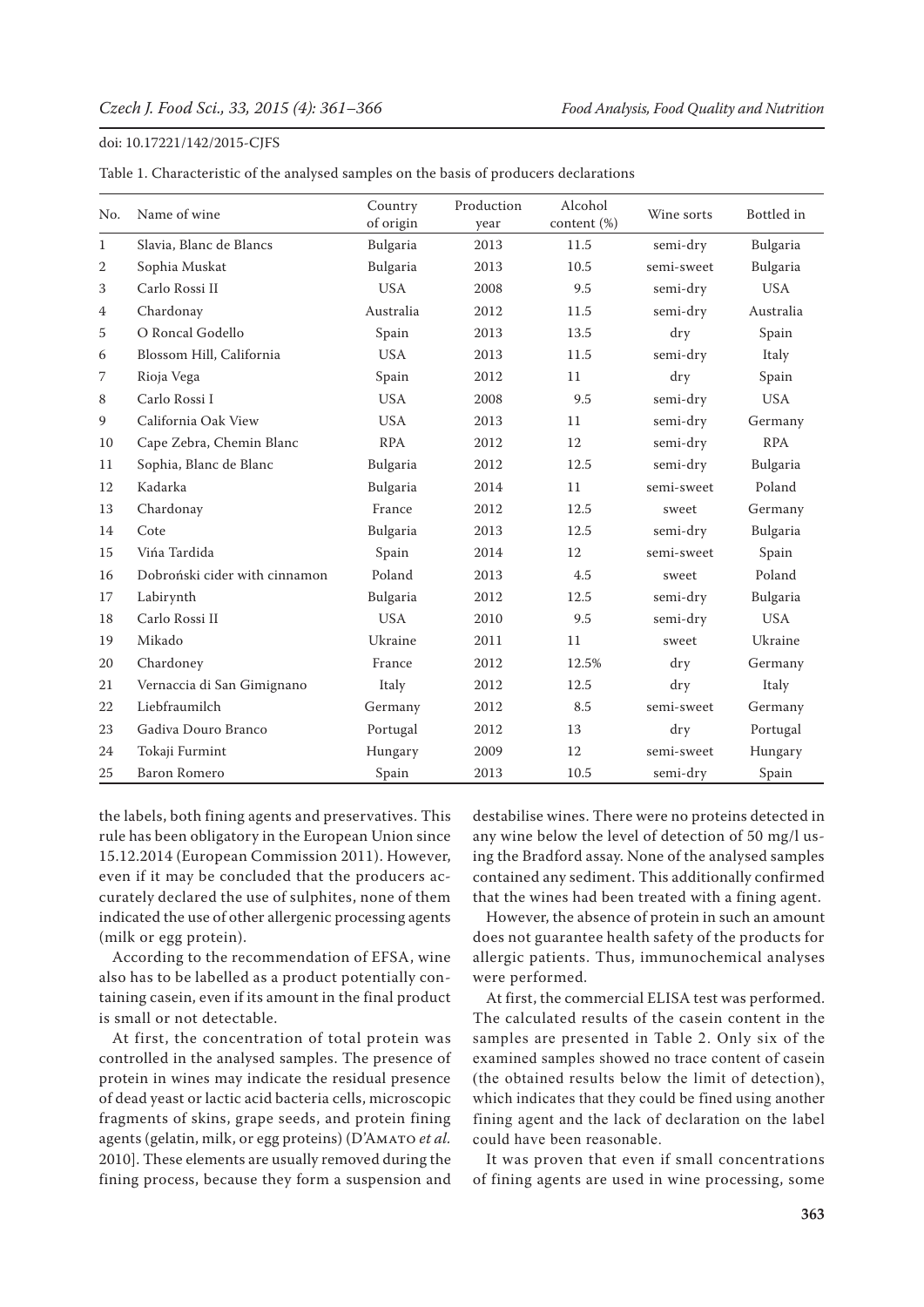## doi: 10.17221/142/2015-CJFS

| No.          | Name of wine                  | Country<br>of origin | Production<br>year | Alcohol<br>content $(\%)$ | Wine sorts | Bottled in |
|--------------|-------------------------------|----------------------|--------------------|---------------------------|------------|------------|
| $\mathbf{1}$ | Slavia, Blanc de Blancs       | Bulgaria             | 2013               | 11.5                      | semi-dry   | Bulgaria   |
| $\mathbf{2}$ | Sophia Muskat                 | Bulgaria             | 2013               | 10.5                      | semi-sweet | Bulgaria   |
| 3            | Carlo Rossi II                | <b>USA</b>           | 2008               | 9.5                       | semi-dry   | <b>USA</b> |
| 4            | Chardonay                     | Australia            | 2012               | 11.5                      | semi-dry   | Australia  |
| 5            | O Roncal Godello              | Spain                | 2013               | 13.5                      | dry        | Spain      |
| 6            | Blossom Hill, California      | <b>USA</b>           | 2013               | 11.5                      | semi-dry   | Italy      |
| 7            | Rioja Vega                    | Spain                | 2012               | 11                        | dry        | Spain      |
| 8            | Carlo Rossi I                 | <b>USA</b>           | 2008               | 9.5                       | semi-dry   | <b>USA</b> |
| 9            | California Oak View           | <b>USA</b>           | 2013               | 11                        | semi-dry   | Germany    |
| 10           | Cape Zebra, Chemin Blanc      | <b>RPA</b>           | 2012               | 12                        | semi-dry   | <b>RPA</b> |
| 11           | Sophia, Blanc de Blanc        | Bulgaria             | 2012               | 12.5                      | semi-dry   | Bulgaria   |
| 12           | Kadarka                       | Bulgaria             | 2014               | 11                        | semi-sweet | Poland     |
| 13           | Chardonay                     | France               | 2012               | 12.5                      | sweet      | Germany    |
| 14           | Cote                          | Bulgaria             | 2013               | 12.5                      | semi-dry   | Bulgaria   |
| 15           | Vińa Tardida                  | Spain                | 2014               | 12                        | semi-sweet | Spain      |
| 16           | Dobroński cider with cinnamon | Poland               | 2013               | 4.5                       | sweet      | Poland     |
| 17           | Labirynth                     | Bulgaria             | 2012               | 12.5                      | semi-dry   | Bulgaria   |
| 18           | Carlo Rossi II                | <b>USA</b>           | 2010               | 9.5                       | semi-dry   | <b>USA</b> |
| 19           | Mikado                        | Ukraine              | 2011               | 11                        | sweet      | Ukraine    |
| 20           | Chardoney                     | France               | 2012               | 12.5%                     | dry        | Germany    |
| 21           | Vernaccia di San Gimignano    | Italy                | 2012               | 12.5                      | dry        | Italy      |
| 22           | Liebfraumilch                 | Germany              | 2012               | 8.5                       | semi-sweet | Germany    |
| 23           | Gadiva Douro Branco           | Portugal             | 2012               | 13                        | dry        | Portugal   |
| 24           | Tokaji Furmint                | Hungary              | 2009               | 12                        | semi-sweet | Hungary    |
| 25           | <b>Baron Romero</b>           | Spain                | 2013               | 10.5                      | semi-dry   | Spain      |

Table 1. Characteristic of the analysed samples on the basis of producers declarations

the labels, both fining agents and preservatives. This rule has been obligatory in the European Union since 15.12.2014 (European Commission 2011). However, even if it may be concluded that the producers accurately declared the use of sulphites, none of them indicated the use of other allergenic processing agents (milk or egg protein).

According to the recommendation of EFSA, wine also has to be labelled as a product potentially containing casein, even if its amount in the final product is small or not detectable.

At first, the concentration of total protein was controlled in the analysed samples. The presence of protein in wines may indicate the residual presence of dead yeast or lactic acid bacteria cells, microscopic fragments of skins, grape seeds, and protein fining agents (gelatin, milk, or egg proteins) (D'Amato *et al.* 2010]. These elements are usually removed during the fining process, because they form a suspension and destabilise wines. There were no proteins detected in any wine below the level of detection of 50 mg/l using the Bradford assay. None of the analysed samples contained any sediment. This additionally confirmed that the wines had been treated with a fining agent.

However, the absence of protein in such an amount does not guarantee health safety of the products for allergic patients. Thus, immunochemical analyses were performed.

At first, the commercial ELISA test was performed. The calculated results of the casein content in the samples are presented in Table 2. Only six of the examined samples showed no trace content of casein (the obtained results below the limit of detection), which indicates that they could be fined using another fining agent and the lack of declaration on the label could have been reasonable.

It was proven that even if small concentrations of fining agents are used in wine processing, some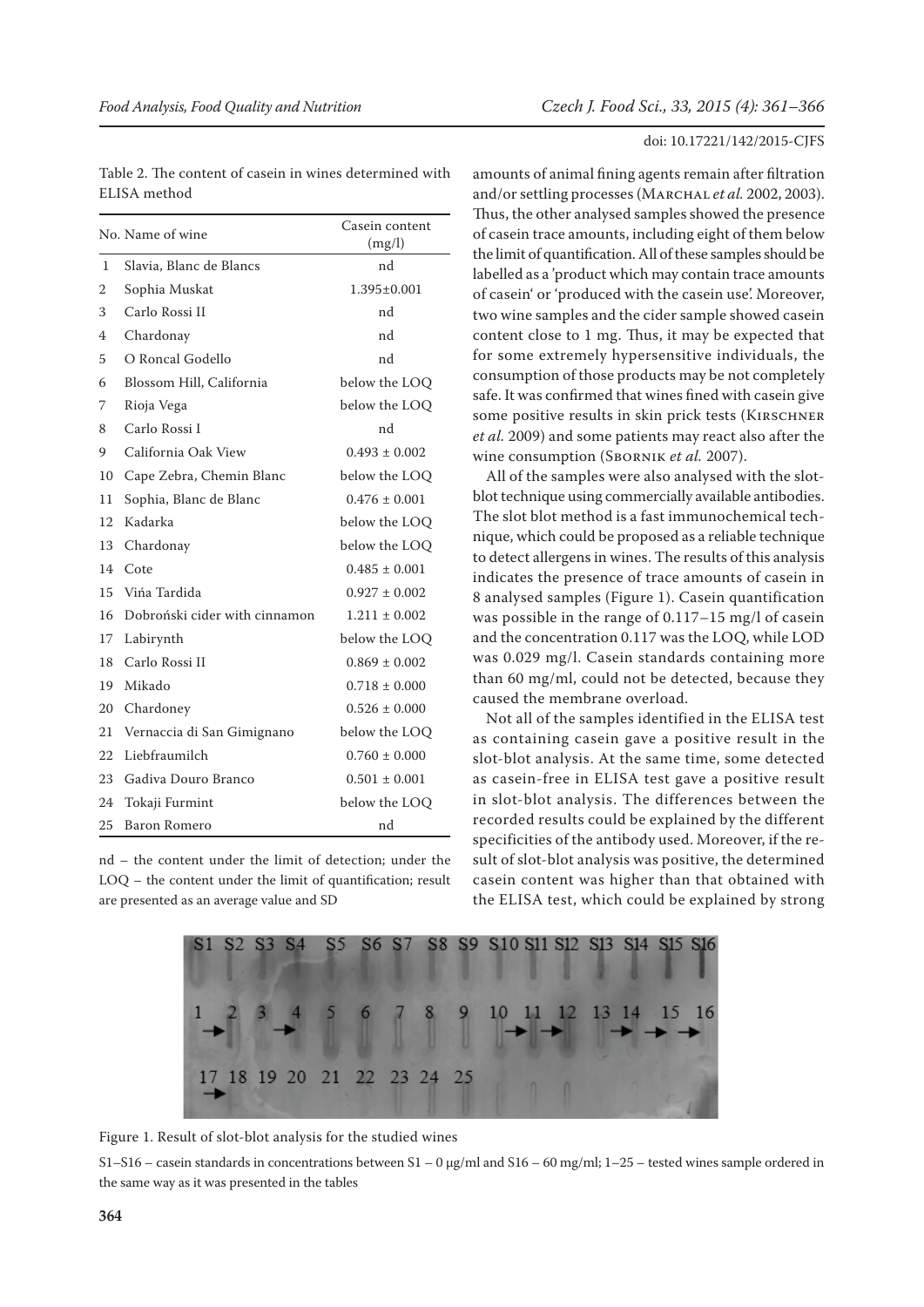|              | No. Name of wine              | Casein content<br>(mg/l) |
|--------------|-------------------------------|--------------------------|
| $\mathbf{1}$ | Slavia, Blanc de Blancs       | nd                       |
| 2            | Sophia Muskat                 | 1.395±0.001              |
| 3            | Carlo Rossi II                | nd                       |
| 4            | Chardonay                     | nd                       |
| 5            | O Roncal Godello              | nd                       |
| 6            | Blossom Hill, California      | below the LOO            |
| 7            | Rioja Vega                    | below the LOQ            |
| 8            | Carlo Rossi I                 | nd                       |
| 9            | California Oak View           | $0.493 \pm 0.002$        |
| 10           | Cape Zebra, Chemin Blanc      | below the LOQ            |
| 11           | Sophia, Blanc de Blanc        | $0.476 \pm 0.001$        |
| 12           | Kadarka                       | below the LOO            |
| 13           | Chardonay                     | below the LOQ            |
| 14           | Cote                          | $0.485 \pm 0.001$        |
| 15           | Vińa Tardida                  | $0.927 \pm 0.002$        |
| 16           | Dobroński cider with cinnamon | $1.211 \pm 0.002$        |
| 17           | Labirynth                     | below the LOQ            |
| 18           | Carlo Rossi II                | $0.869 \pm 0.002$        |
| 19           | Mikado                        | $0.718 \pm 0.000$        |
| 20           | Chardoney                     | $0.526 \pm 0.000$        |
| 21           | Vernaccia di San Gimignano    | below the LOQ            |
| 22           | Liebfraumilch                 | $0.760 \pm 0.000$        |
| 23.          | Gadiva Douro Branco           | $0.501 \pm 0.001$        |
| 24           | Tokaji Furmint                | below the LOQ            |
| 25           | Baron Romero                  | nd                       |

Table 2. The content of casein in wines determined with ELISA method

nd – the content under the limit of detection; under the LOQ – the content under the limit of quantification; result are presented as an average value and SD

#### doi: 10.17221/142/2015-CJFS

amounts of animal fining agents remain after filtration and/or settling processes (Marchal *et al.* 2002, 2003). Thus, the other analysed samples showed the presence of casein trace amounts, including eight of them below the limit of quantification. All of these samples should be labelled as a 'product which may contain trace amounts of casein' or 'produced with the casein use'. Moreover, two wine samples and the cider sample showed casein content close to 1 mg. Thus, it may be expected that for some extremely hypersensitive individuals, the consumption of those products may be not completely safe. It was confirmed that wines fined with casein give some positive results in skin prick tests (KIRSCHNER *et al.* 2009) and some patients may react also after the wine consumption (SBORNIK *et al.* 2007).

All of the samples were also analysed with the slotblot technique using commercially available antibodies. The slot blot method is a fast immunochemical technique, which could be proposed as a reliable technique to detect allergens in wines. The results of this analysis indicates the presence of trace amounts of casein in 8 analysed samples (Figure 1). Casein quantification was possible in the range of 0.117–15 mg/l of casein and the concentration 0.117 was the LOQ, while LOD was 0.029 mg/l. Casein standards containing more than 60 mg/ml, could not be detected, because they caused the membrane overload.

Not all of the samples identified in the ELISA test as containing casein gave a positive result in the slot-blot analysis. At the same time, some detected as casein-free in ELISA test gave a positive result in slot-blot analysis. The differences between the recorded results could be explained by the different specificities of the antibody used. Moreover, if the result of slot-blot analysis was positive, the determined casein content was higher than that obtained with the ELISA test, which could be explained by strong



Figure 1. Result of slot-blot analysis for the studied wines

S1–S16 – casein standards in concentrations between S1 – 0  $\mu$ g/ml and S16 – 60 mg/ml; 1–25 – tested wines sample ordered in the same way as it was presented in the tables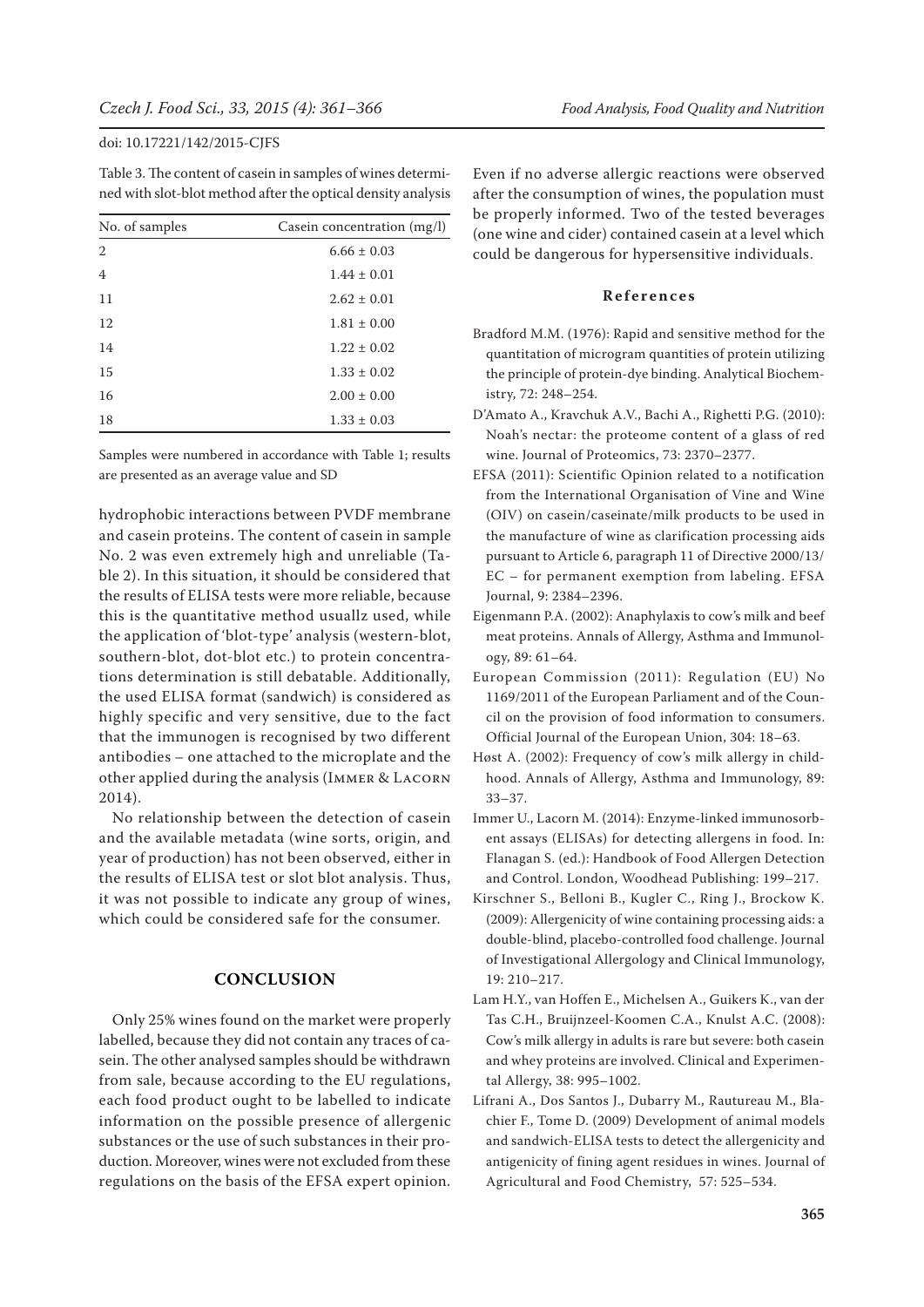### doi: 10.17221/142/2015-CJFS

| No. of samples | Casein concentration (mg/l) |
|----------------|-----------------------------|
| $\overline{2}$ | $6.66 \pm 0.03$             |
| 4              | $1.44 \pm 0.01$             |
| 11             | $2.62 \pm 0.01$             |
| 12             | $1.81 \pm 0.00$             |
| 14             | $1.22 \pm 0.02$             |
| 15             | $1.33 \pm 0.02$             |
| 16             | $2.00 \pm 0.00$             |
| 18             | $1.33 \pm 0.03$             |

Table 3. The content of casein in samples of wines determined with slot-blot method after the optical density analysis

Samples were numbered in accordance with Table 1; results are presented as an average value and SD

hydrophobic interactions between PVDF membrane and casein proteins. The content of casein in sample No. 2 was even extremely high and unreliable (Table 2). In this situation, it should be considered that the results of ELISA tests were more reliable, because this is the quantitative method usuallz used, while the application of 'blot-type' analysis (western-blot, southern-blot, dot-blot etc.) to protein concentrations determination is still debatable. Additionally, the used ELISA format (sandwich) is considered as highly specific and very sensitive, due to the fact that the immunogen is recognised by two different antibodies – one attached to the microplate and the other applied during the analysis (Immer & Lacorn 2014).

No relationship between the detection of casein and the available metadata (wine sorts, origin, and year of production) has not been observed, either in the results of ELISA test or slot blot analysis. Thus, it was not possible to indicate any group of wines, which could be considered safe for the consumer.

# **CONCLUSION**

Only 25% wines found on the market were properly labelled, because they did not contain any traces of casein. The other analysed samples should be withdrawn from sale, because according to the EU regulations, each food product ought to be labelled to indicate information on the possible presence of allergenic substances or the use of such substances in their production. Moreover, wines were not excluded from these regulations on the basis of the EFSA expert opinion.

Even if no adverse allergic reactions were observed after the consumption of wines, the population must be properly informed. Two of the tested beverages (one wine and cider) contained casein at a level which could be dangerous for hypersensitive individuals.

#### **References**

- Bradford M.M. (1976): Rapid and sensitive method for the quantitation of microgram quantities of protein utilizing the principle of protein-dye binding. Analytical Biochemistry, 72: 248–254.
- D'Amato A., Kravchuk A.V., Bachi A., Righetti P.G. (2010): Noah's nectar: the proteome content of a glass of red wine. Journal of Proteomics, 73: 2370–2377.
- EFSA (2011): Scientific Opinion related to a notification from the International Organisation of Vine and Wine (OIV) on casein/caseinate/milk products to be used in the manufacture of wine as clarification processing aids pursuant to Article 6, paragraph 11 of Directive 2000/13/ EC – for permanent exemption from labeling. EFSA Journal, 9: 2384–2396.
- Eigenmann P.A. (2002): Anaphylaxis to cow's milk and beef meat proteins. Annals of Allergy, Asthma and Immunology, 89: 61–64.
- European Commission (2011): Regulation (EU) No 1169/2011 of the European Parliament and of the Council on the provision of food information to consumers. Official Journal of the European Union, 304: 18–63.
- Høst A. (2002): Frequency of cow's milk allergy in childhood. Annals of Allergy, Asthma and Immunology, 89: 33–37.
- Immer U., Lacorn M. (2014): Enzyme-linked immunosorbent assays (ELISAs) for detecting allergens in food. In: Flanagan S. (ed.): Handbook of Food Allergen Detection and Control. London, Woodhead Publishing: 199–217.
- Kirschner S., Belloni B., Kugler C., Ring J., Brockow K. (2009): Allergenicity of wine containing processing aids: a double-blind, placebo-controlled food challenge. Journal of Investigational Allergology and Clinical Immunology, 19: 210–217.
- Lam H.Y., van Hoffen E., Michelsen A., Guikers K., van der Tas C.H., Bruijnzeel-Koomen C.A., Knulst A.C. (2008): Cow's milk allergy in adults is rare but severe: both casein and whey proteins are involved. Clinical and Experimental Allergy, 38: 995–1002.
- Lifrani A., Dos Santos J., Dubarry M., Rautureau M., Blachier F., Tome D. (2009) Development of animal models and sandwich-ELISA tests to detect the allergenicity and antigenicity of fining agent residues in wines. Journal of Agricultural and Food Chemistry, 57: 525–534.